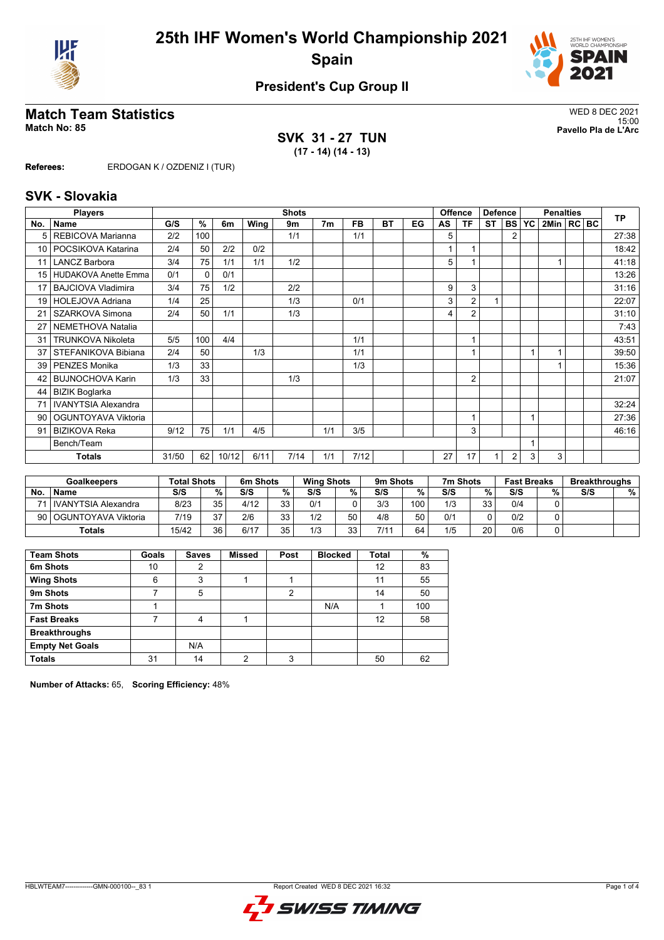



# **Match Team Statistics** WED 8 DEC 2021

**SVK 31 - 27 TUN (17 - 14) (14 - 13)**

15:00 **Match No: 85 Pavello Pla de L'Arc**

**Referees:** ERDOGAN K / OZDENIZ I (TUR)

### **SVK - Slovakia**

|                 | <b>Players</b>              |       | <b>Shots</b> |       |      |      |                |      |           |    |    | <b>Offence</b> | <b>Defence</b><br><b>Penalties</b> |                |                |                |  | <b>TP</b> |       |
|-----------------|-----------------------------|-------|--------------|-------|------|------|----------------|------|-----------|----|----|----------------|------------------------------------|----------------|----------------|----------------|--|-----------|-------|
| No.             | <b>Name</b>                 | G/S   | %            | 6m    | Wing | 9m   | 7 <sub>m</sub> | FB.  | <b>BT</b> | EG | AS | TF             | <b>ST</b>                          | <b>BS</b>      | YC             | 2Min   RC   BC |  |           |       |
| 5               | REBICOVA Marianna           | 2/2   | 100          |       |      | 1/1  |                | 1/1  |           |    | 5  |                |                                    | $\overline{2}$ |                |                |  |           | 27:38 |
| 10 <sup>1</sup> | POCSIKOVA Katarina          | 2/4   | 50           | 2/2   | 0/2  |      |                |      |           |    |    |                |                                    |                |                |                |  |           | 18:42 |
| 11              | <b>LANCZ Barbora</b>        | 3/4   | 75           | 1/1   | 1/1  | 1/2  |                |      |           |    | 5  |                |                                    |                |                |                |  |           | 41:18 |
| 15 <sup>1</sup> | <b>HUDAKOVA Anette Emma</b> | 0/1   | $\mathbf{0}$ | 0/1   |      |      |                |      |           |    |    |                |                                    |                |                |                |  |           | 13:26 |
| 17              | <b>BAJCIOVA Vladimira</b>   | 3/4   | 75           | 1/2   |      | 2/2  |                |      |           |    | 9  | 3              |                                    |                |                |                |  |           | 31:16 |
| 19              | HOLEJOVA Adriana            | 1/4   | 25           |       |      | 1/3  |                | 0/1  |           |    | 3  | $\overline{2}$ |                                    |                |                |                |  |           | 22:07 |
| 21              | SZARKOVA Simona             | 2/4   | 50           | 1/1   |      | 1/3  |                |      |           |    | 4  | $\overline{2}$ |                                    |                |                |                |  |           | 31:10 |
| 27              | NEMETHOVA Natalia           |       |              |       |      |      |                |      |           |    |    |                |                                    |                |                |                |  |           | 7:43  |
| 31              | <b>TRUNKOVA Nikoleta</b>    | 5/5   | 100          | 4/4   |      |      |                | 1/1  |           |    |    |                |                                    |                |                |                |  |           | 43:51 |
| 37              | STEFANIKOVA Bibiana         | 2/4   | 50           |       | 1/3  |      |                | 1/1  |           |    |    |                |                                    |                |                |                |  |           | 39:50 |
| 39              | <b>PENZES Monika</b>        | 1/3   | 33           |       |      |      |                | 1/3  |           |    |    |                |                                    |                |                |                |  |           | 15:36 |
| 42              | <b>BUJNOCHOVA Karin</b>     | 1/3   | 33           |       |      | 1/3  |                |      |           |    |    | $\overline{2}$ |                                    |                |                |                |  |           | 21:07 |
| 44              | <b>BIZIK Boglarka</b>       |       |              |       |      |      |                |      |           |    |    |                |                                    |                |                |                |  |           |       |
| 71              | <b>IVANYTSIA Alexandra</b>  |       |              |       |      |      |                |      |           |    |    |                |                                    |                |                |                |  |           | 32:24 |
| 90              | OGUNTOYAVA Viktoria         |       |              |       |      |      |                |      |           |    |    |                |                                    |                | $\overline{A}$ |                |  |           | 27:36 |
| 91              | <b>BIZIKOVA Reka</b>        | 9/12  | 75           | 1/1   | 4/5  |      | 1/1            | 3/5  |           |    |    | 3              |                                    |                |                |                |  |           | 46:16 |
|                 | Bench/Team                  |       |              |       |      |      |                |      |           |    |    |                |                                    |                |                |                |  |           |       |
|                 | <b>Totals</b>               | 31/50 | 62           | 10/12 | 6/11 | 7/14 | 1/1            | 7/12 |           |    | 27 | 17             |                                    | $\overline{2}$ | 3              | 3              |  |           |       |

|           | <b>Goalkeepers</b>       | <b>Total Shots</b> |                 | 6m Shots |          | <b>Wing Shots</b> |    | 9m Shots |     | 7m Shots |    | <b>Fast Breaks</b> |   | <b>Breakthroughs</b> |   |
|-----------|--------------------------|--------------------|-----------------|----------|----------|-------------------|----|----------|-----|----------|----|--------------------|---|----------------------|---|
| <b>No</b> | <b>Name</b>              | S/S                | %.              | S/S      | %        | S/S               | %  | S/S      | ℅   | S/S      | %  | S/S                | % | S/S                  | % |
|           | l IVANYTSIA Alexandra    | 8/23               | 35 <sub>1</sub> | 4/12     | 33       | 0/1               |    | 3/3      | 100 | 1/3      | 33 | 0/4                |   |                      |   |
|           | 90   OGUNTOYAVA Viktoria | 7/19               | 27              | 2/6      | っっ<br>ບພ | 1/2               | 50 | 4/8      | 50  | 0/1      |    | 0/2                |   |                      |   |
| Totals    |                          | 15/42              | 36              | 6/17     | 35       | 1/3               | วว | 7/11     | 64  | 1/5      | 20 | 0/6                |   |                      |   |

| <b>Team Shots</b>      | Goals | <b>Saves</b> | <b>Missed</b> | Post | <b>Blocked</b> | <b>Total</b> | %   |
|------------------------|-------|--------------|---------------|------|----------------|--------------|-----|
| 6m Shots               | 10    | 2            |               |      |                | 12           | 83  |
| <b>Wing Shots</b>      | 6     | 3            |               |      |                | 11           | 55  |
| 9m Shots               |       | 5            |               | 2    |                | 14           | 50  |
| 7m Shots               |       |              |               |      | N/A            |              | 100 |
| <b>Fast Breaks</b>     |       | 4            |               |      |                | 12           | 58  |
| <b>Breakthroughs</b>   |       |              |               |      |                |              |     |
| <b>Empty Net Goals</b> |       | N/A          |               |      |                |              |     |
| <b>Totals</b>          | 31    | 14           | っ             | 3    |                | 50           | 62  |

**Number of Attacks:** 65, **Scoring Efficiency:** 48%

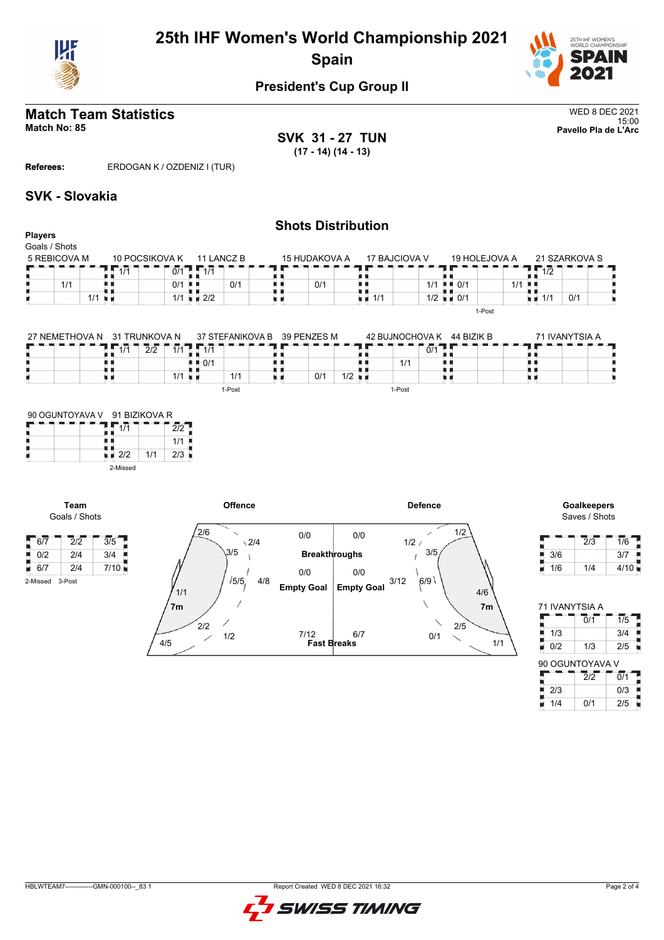



### **Match Team Statistics** WED 8 DEC 2021 15:00 **Match No: 85 Pavello Pla de L'Arc**

**Players** Goals / Shots **SVK 31 - 27 TUN (17 - 14) (14 - 13)**

**Referees:** ERDOGAN K / OZDENIZ I (TUR)

### **SVK - Slovakia**

### **Shots Distribution**

| Goals / Shots |                |                    |               |               |                          |                                   |       |           |               |  |
|---------------|----------------|--------------------|---------------|---------------|--------------------------|-----------------------------------|-------|-----------|---------------|--|
| 5 REBICOVA M  | 10 POCSIKOVA K | 11 LANCZ B         | 15 HUDAKOVA A | 17 BAJCIOVA V |                          | 19 HOLEJOVA A                     |       |           | 21 SZARKOVA S |  |
|               | 0/1<br>1/1     | 414                |               |               |                          |                                   |       | 10<br>172 |               |  |
| 1/1           | 0/1            | 0/1                | 0/1           |               | 1/1                      | $\blacksquare$ $\blacksquare$ 0/1 | $1/1$ |           |               |  |
| 1/1<br>       | 1/1            | $\blacksquare$ 2/2 |               | ∎∎ 1/1        | $1/2$ $\blacksquare$ 0/1 |                                   |       | 1/1       | 0/1           |  |
|               |                |                    |               |               |                          | 1-Post                            |       |           |               |  |

| 27 NEMETHOVA N | 31 TRUNKOVA N |                                      | 37 STFFANIKOVA B | 39 PENZES M |                | 42 BUJNOCHOVA K |     | 44 BIZIK B | 71 IVANYTSIA A |  |  |  |  |
|----------------|---------------|--------------------------------------|------------------|-------------|----------------|-----------------|-----|------------|----------------|--|--|--|--|
|                | 2/2<br>1/1    | $\overline{A}$ $\overline{A}$<br>1/1 |                  |             |                |                 | 0/1 |            |                |  |  |  |  |
|                |               | $\blacksquare$ $\blacksquare$ 0/1    |                  |             |                | 1/1             |     |            |                |  |  |  |  |
|                |               | 1/1                                  | 1/1              | 0'          | 1/2<br>- 11 11 |                 |     |            |                |  |  |  |  |
|                |               |                                      | 1-Post           |             |                | 1-Post          |     |            |                |  |  |  |  |

| 90 OGUNTOYAVA V 91 BIZIKOVA R |          |     |     |  |  |  |  |  |  |  |  |
|-------------------------------|----------|-----|-----|--|--|--|--|--|--|--|--|
|                               |          |     |     |  |  |  |  |  |  |  |  |
|                               |          |     | 1/1 |  |  |  |  |  |  |  |  |
|                               | 2/2      | 1/1 | 2/3 |  |  |  |  |  |  |  |  |
|                               | 2-Missed |     |     |  |  |  |  |  |  |  |  |

**Team**

 $\begin{array}{|c|c|c|c|}\n\hline\n0/2 & 2/4 \\
\hline\n\end{array}$ 

2-Missed 3-Post



| Goalkeepers   |  |
|---------------|--|
| Saves / Shots |  |

|     | 2/3 | 1/6  |
|-----|-----|------|
| 3/6 |     | 3/7  |
| 1/6 | 1/4 | 4/10 |

| 71 IVANYTSIA A  |                  |                  |  |  |  |  |  |  |  |  |  |  |
|-----------------|------------------|------------------|--|--|--|--|--|--|--|--|--|--|
|                 | $\overline{0}/1$ | $\overline{1/5}$ |  |  |  |  |  |  |  |  |  |  |
| 1/3             |                  | 3/4              |  |  |  |  |  |  |  |  |  |  |
| Ę<br>0/2        | 1/3              | 2/5              |  |  |  |  |  |  |  |  |  |  |
|                 |                  |                  |  |  |  |  |  |  |  |  |  |  |
| 90 OGUNTOYAVA V |                  |                  |  |  |  |  |  |  |  |  |  |  |
|                 | 212              | $\overline{0/1}$ |  |  |  |  |  |  |  |  |  |  |
| 2/3             |                  | 0/3              |  |  |  |  |  |  |  |  |  |  |

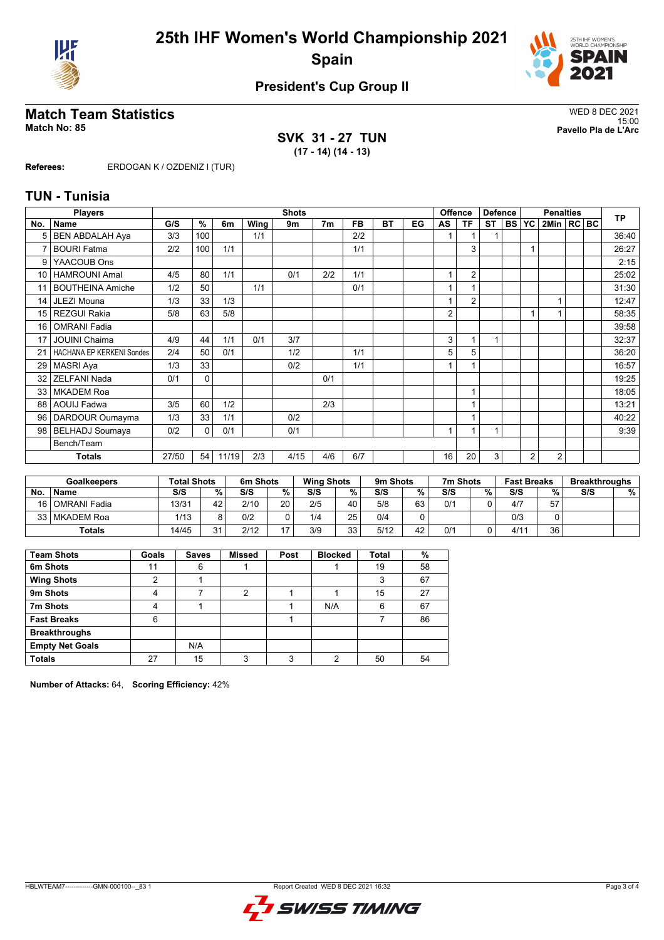



# WED 8 DEC 2021<br>Match No: 85<br>Pavello Pla de L'Arc

**SVK 31 - 27 TUN (17 - 14) (14 - 13)**

15:00 **Match No: 85 Pavello Pla de L'Arc**

**Referees:** ERDOGAN K / OZDENIZ I (TUR)

### **TUN - Tunisia**

|                 | <b>Players</b>                   |       | <b>Shots</b> |       |      |      |                |     |           |    | Offence        |                | <b>Defence</b> |           | <b>Penalties</b> |              |  |  | <b>TP</b> |
|-----------------|----------------------------------|-------|--------------|-------|------|------|----------------|-----|-----------|----|----------------|----------------|----------------|-----------|------------------|--------------|--|--|-----------|
| No.             | <b>Name</b>                      | G/S   | %            | 6m    | Wing | 9m   | 7 <sub>m</sub> | FB. | <b>BT</b> | EG | AS             | ΤF             | <b>ST</b>      | <b>BS</b> | <b>YC</b>        | 2Min   RC BC |  |  |           |
|                 | <b>BEN ABDALAH Aya</b>           | 3/3   | 100          |       | 1/1  |      |                | 2/2 |           |    |                |                |                |           |                  |              |  |  | 36:40     |
| 7               | <b>BOURI Fatma</b>               | 2/2   | 100          | 1/1   |      |      |                | 1/1 |           |    |                | 3              |                |           | 1                |              |  |  | 26:27     |
| 9               | YAACOUB Ons                      |       |              |       |      |      |                |     |           |    |                |                |                |           |                  |              |  |  | 2:15      |
| 10 <sup>1</sup> | <b>HAMROUNI Amal</b>             | 4/5   | 80           | 1/1   |      | 0/1  | 2/2            | 1/1 |           |    |                | $\overline{2}$ |                |           |                  |              |  |  | 25:02     |
| 11              | <b>BOUTHEINA Amiche</b>          | 1/2   | 50           |       | 1/1  |      |                | 0/1 |           |    | 1              |                |                |           |                  |              |  |  | 31:30     |
| 14              | JLEZI Mouna                      | 1/3   | 33           | 1/3   |      |      |                |     |           |    |                | $\overline{2}$ |                |           |                  |              |  |  | 12:47     |
| 15 <sup>1</sup> | <b>REZGUI Rakia</b>              | 5/8   | 63           | 5/8   |      |      |                |     |           |    | 2              |                |                |           |                  |              |  |  | 58:35     |
| 16              | <b>OMRANI Fadia</b>              |       |              |       |      |      |                |     |           |    |                |                |                |           |                  |              |  |  | 39:58     |
| 17              | <b>JOUINI Chaima</b>             | 4/9   | 44           | 1/1   | 0/1  | 3/7  |                |     |           |    | 3              |                | 1              |           |                  |              |  |  | 32:37     |
| 21              | <b>HACHANA EP KERKENI Sondes</b> | 2/4   | 50           | 0/1   |      | 1/2  |                | 1/1 |           |    | 5              | 5              |                |           |                  |              |  |  | 36:20     |
| 29              | <b>MASRI Aya</b>                 | 1/3   | 33           |       |      | 0/2  |                | 1/1 |           |    | 1              |                |                |           |                  |              |  |  | 16:57     |
| 32              | <b>ZELFANI Nada</b>              | 0/1   | $\Omega$     |       |      |      | 0/1            |     |           |    |                |                |                |           |                  |              |  |  | 19:25     |
| 33              | <b>MKADEM Roa</b>                |       |              |       |      |      |                |     |           |    |                |                |                |           |                  |              |  |  | 18:05     |
| 88              | <b>AOUIJ Fadwa</b>               | 3/5   | 60           | 1/2   |      |      | 2/3            |     |           |    |                |                |                |           |                  |              |  |  | 13:21     |
| 96 <sup>1</sup> | DARDOUR Oumayma                  | 1/3   | 33           | 1/1   |      | 0/2  |                |     |           |    |                |                |                |           |                  |              |  |  | 40:22     |
| 98 l            | <b>BELHADJ Soumaya</b>           | 0/2   | $\Omega$     | 0/1   |      | 0/1  |                |     |           |    | $\overline{A}$ |                | 1              |           |                  |              |  |  | 9:39      |
|                 | Bench/Team                       |       |              |       |      |      |                |     |           |    |                |                |                |           |                  |              |  |  |           |
|                 | <b>Totals</b>                    | 27/50 | 54           | 11/19 | 2/3  | 4/15 | 4/6            | 6/7 |           |    | 16             | 20             | 3              |           | $\overline{2}$   | 2            |  |  |           |

|               | <b>Goalkeepers</b> | <b>Total Shots</b> |    | 6m Shots |                 | <b>Wing Shots</b> |          | 9m Shots |    | 7m Shots |   | <b>Fast Breaks</b> |    | <b>Breakthroughs</b> |   |  |
|---------------|--------------------|--------------------|----|----------|-----------------|-------------------|----------|----------|----|----------|---|--------------------|----|----------------------|---|--|
| No.           | <b>Name</b>        | S/S                | %  | S/S      | %               | S/S               | %        | S/S      | %  | S/S      | % | S/S                | %  | S/S                  | % |  |
| 16 l          | l OMRANI Fadia     | 13/31              | 42 | 2/10     | 20 <sub>1</sub> | 2/5               | 40       | 5/8      | 63 | 0/1      |   | 4/7                | 57 |                      |   |  |
| 33            | l MKADEM Roa       | 1/13               |    | 0/2      |                 | 1/4               | 25       | 0/4      | ۵  |          |   | 0/3                |    |                      |   |  |
| <b>Totals</b> |                    | 14/45              | 24 | 2/12     | $\overline{a}$  | 3/9               | 33<br>ںر | 5/12     | 42 | 0/1      |   | 4/11               | 36 |                      |   |  |

| <b>Team Shots</b>      | Goals | <b>Saves</b> | <b>Missed</b> | Post | <b>Blocked</b> | Total | %  |
|------------------------|-------|--------------|---------------|------|----------------|-------|----|
| 6m Shots               | 11    | 6            |               |      |                | 19    | 58 |
| <b>Wing Shots</b>      | ◠     |              |               |      |                | 3     | 67 |
| 9m Shots               | 4     |              | 2             |      |                | 15    | 27 |
| 7m Shots               | 4     |              |               |      | N/A            | 6     | 67 |
| <b>Fast Breaks</b>     | 6     |              |               |      |                |       | 86 |
| <b>Breakthroughs</b>   |       |              |               |      |                |       |    |
| <b>Empty Net Goals</b> |       | N/A          |               |      |                |       |    |
| <b>Totals</b>          | 27    | 15           | ົ             | 2    | ◠              | 50    | 54 |

**Number of Attacks:** 64, **Scoring Efficiency:** 42%